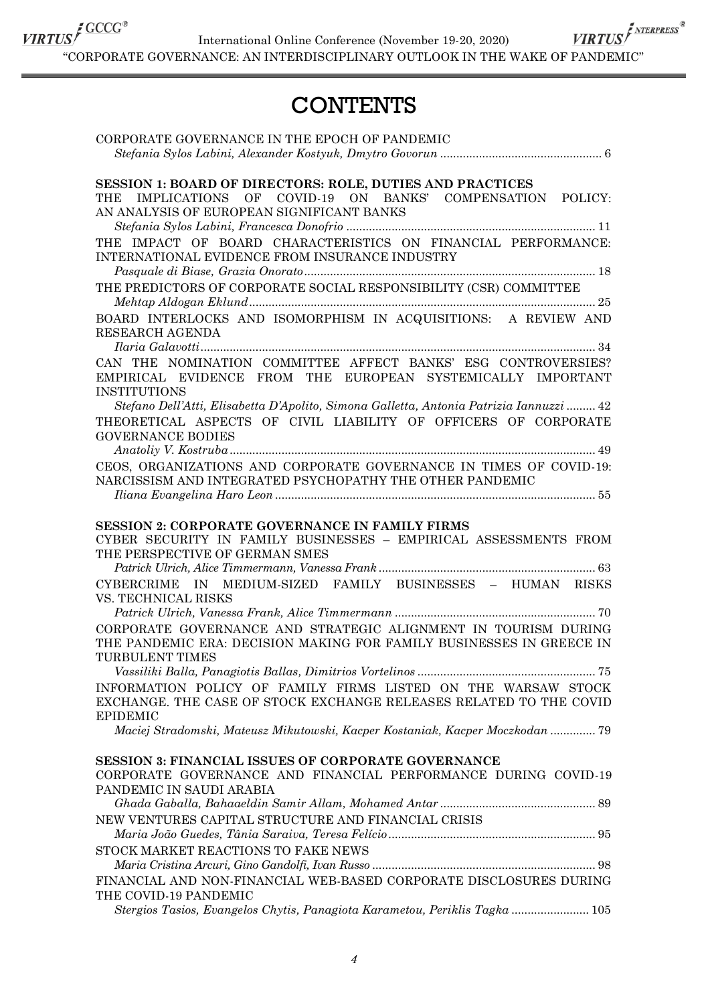International Online Conference (November 19-20, 2020)

 $\textit{\underline{VIRTUS}}^{\textit{f GCCG$}^*}\quad\textit{International Online Conference (November 19-20, 2020)}\quad\textit{VIRTUS}^{\textit{\underline{F}^{NTERPRESS}^*}}\quad\textit{``CORPORTE GOVERNANCE: AN INTERDISCIPLINARY OUTLOOK IN THE WAKE OF PANDEMIC''}\quad}$ 

## **CONTENTS**

| CORPORATE GOVERNANCE IN THE EPOCH OF PANDEMIC                                                                                                                                                                                                  |
|------------------------------------------------------------------------------------------------------------------------------------------------------------------------------------------------------------------------------------------------|
| <b>SESSION 1: BOARD OF DIRECTORS: ROLE, DUTIES AND PRACTICES</b><br>OF<br>COVID-19 ON<br>BANKS' COMPENSATION POLICY:<br><b>IMPLICATIONS</b><br>THE<br>AN ANALYSIS OF EUROPEAN SIGNIFICANT BANKS                                                |
| THE IMPACT OF BOARD CHARACTERISTICS ON FINANCIAL PERFORMANCE:<br>INTERNATIONAL EVIDENCE FROM INSURANCE INDUSTRY                                                                                                                                |
| THE PREDICTORS OF CORPORATE SOCIAL RESPONSIBILITY (CSR) COMMITTEE                                                                                                                                                                              |
| BOARD INTERLOCKS AND ISOMORPHISM IN ACQUISITIONS: A REVIEW AND<br>RESEARCH AGENDA                                                                                                                                                              |
| CAN THE NOMINATION COMMITTEE AFFECT BANKS' ESG CONTROVERSIES?<br>EMPIRICAL EVIDENCE FROM THE EUROPEAN SYSTEMICALLY IMPORTANT<br><b>INSTITUTIONS</b><br>Stefano Dell'Atti, Elisabetta D'Apolito, Simona Galletta, Antonia Patrizia Iannuzzi  42 |
| THEORETICAL ASPECTS OF CIVIL LIABILITY OF OFFICERS OF CORPORATE<br><b>GOVERNANCE BODIES</b>                                                                                                                                                    |
| CEOS, ORGANIZATIONS AND CORPORATE GOVERNANCE IN TIMES OF COVID-19:<br>NARCISSISM AND INTEGRATED PSYCHOPATHY THE OTHER PANDEMIC                                                                                                                 |
| <b>SESSION 2: CORPORATE GOVERNANCE IN FAMILY FIRMS</b><br>CYBER SECURITY IN FAMILY BUSINESSES - EMPIRICAL ASSESSMENTS FROM<br>THE PERSPECTIVE OF GERMAN SMES                                                                                   |
| MEDIUM-SIZED FAMILY BUSINESSES - HUMAN RISKS<br><b>CYBERCRIME</b><br><b>IN</b><br>VS. TECHNICAL RISKS                                                                                                                                          |
| CORPORATE GOVERNANCE AND STRATEGIC ALIGNMENT IN TOURISM DURING<br>THE PANDEMIC ERA: DECISION MAKING FOR FAMILY BUSINESSES IN GREECE IN<br>TURBULENT TIMES                                                                                      |
| INFORMATION POLICY OF FAMILY FIRMS LISTED ON THE WARSAW STOCK<br>EXCHANGE. THE CASE OF STOCK EXCHANGE RELEASES RELATED TO THE COVID<br><b>EPIDEMIC</b>                                                                                         |
| Maciej Stradomski, Mateusz Mikutowski, Kacper Kostaniak, Kacper Moczkodan  79                                                                                                                                                                  |
| <b>SESSION 3: FINANCIAL ISSUES OF CORPORATE GOVERNANCE</b><br>CORPORATE GOVERNANCE AND FINANCIAL PERFORMANCE DURING COVID-19<br>PANDEMIC IN SAUDI ARABIA                                                                                       |
| NEW VENTURES CAPITAL STRUCTURE AND FINANCIAL CRISIS                                                                                                                                                                                            |
| STOCK MARKET REACTIONS TO FAKE NEWS                                                                                                                                                                                                            |
| FINANCIAL AND NON-FINANCIAL WEB-BASED CORPORATE DISCLOSURES DURING<br>THE COVID-19 PANDEMIC                                                                                                                                                    |
| Stergios Tasios, Evangelos Chytis, Panagiota Karametou, Periklis Tagka  105                                                                                                                                                                    |